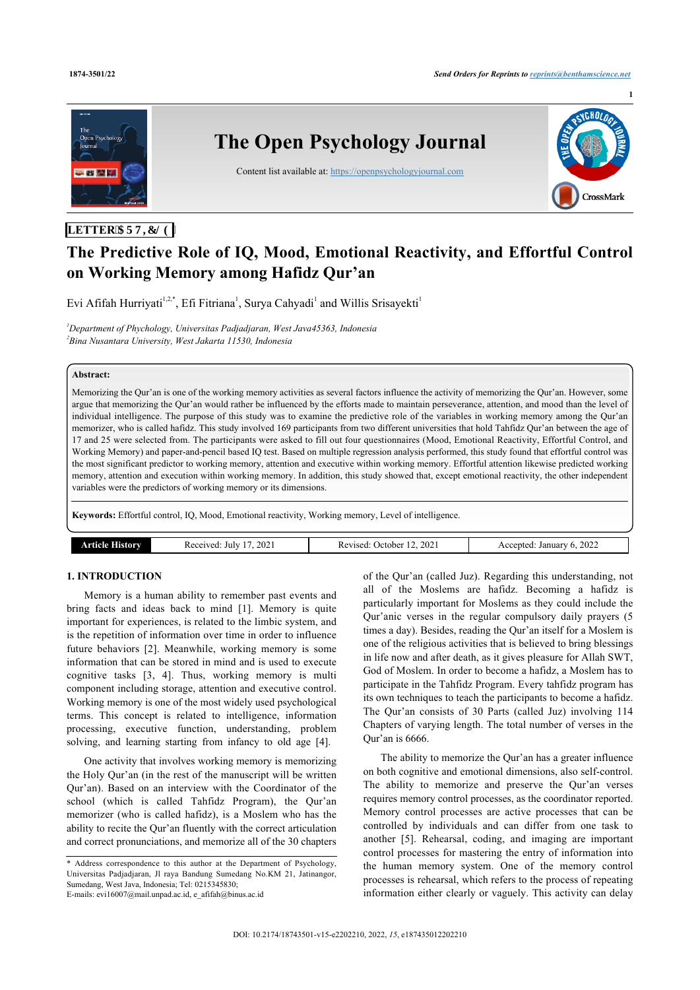**1**



## **LETTER'CTVIENG**

# **The Predictive Role of IQ, Mood, Emotional Reactivity, and Effortful Control on Working Memory among Hafidz Qur'an**

Evi Afifah Hurriyati<sup>[1](#page-0-0)[,2](#page-0-1),[\\*](#page-0-2)</sup>, Efi Fitriana<sup>1</sup>, Surya Cahyadi<sup>1</sup> and Willis Srisayekti<sup>1</sup>

<span id="page-0-1"></span><span id="page-0-0"></span>*<sup>1</sup>Department of Phychology, Universitas Padjadjaran, West Java45363, Indonesia 2 Bina Nusantara University, West Jakarta 11530, Indonesia*

#### **Abstract:**

Memorizing the Qur'an is one of the working memory activities as several factors influence the activity of memorizing the Qur'an. However, some argue that memorizing the Qur'an would rather be influenced by the efforts made to maintain perseverance, attention, and mood than the level of individual intelligence. The purpose of this study was to examine the predictive role of the variables in working memory among the Qur'an memorizer, who is called hafidz. This study involved 169 participants from two different universities that hold Tahfidz Qur'an between the age of 17 and 25 were selected from. The participants were asked to fill out four questionnaires (Mood, Emotional Reactivity, Effortful Control, and Working Memory) and paper-and-pencil based IQ test. Based on multiple regression analysis performed, this study found that effortful control was the most significant predictor to working memory, attention and executive within working memory. Effortful attention likewise predicted working memory, attention and execution within working memory. In addition, this study showed that, except emotional reactivity, the other independent variables were the predictors of working memory or its dimensions.

**Keywords:** Effortful control, IQ, Mood, Emotional reactivity, Working memory, Level of intelligence.

| 202<br>July<br>Forest<br>$  -$<br>.<br>. | $\sim$<br>, Jetober<br>zised<br>202<br>- Key<br>. | 2022<br>Januar<br>entec |
|------------------------------------------|---------------------------------------------------|-------------------------|
|------------------------------------------|---------------------------------------------------|-------------------------|

## **1. INTRODUCTION**

Memory is a human ability to remember past events and bring facts and ideas back to mind[[1](#page-8-0)]. Memory is quite important for experiences, is related to the limbic system, and is the repetition of information over time in order to influence future behaviors[[2](#page-8-1)]. Meanwhile, working memory is some information that can be stored in mind and is used to execute cognitive tasks[[3,](#page-8-2) [4\]](#page-8-3). Thus, working memory is multi component including storage, attention and executive control. Working memory is one of the most widely used psychological terms. This concept is related to intelligence, information processing, executive function, understanding, problem solving, and learning starting from infancy to old age[[4](#page-8-3)].

One activity that involves working memory is memorizing the Holy Qur'an (in the rest of the manuscript will be written Qur'an). Based on an interview with the Coordinator of the school (which is called Tahfidz Program), the Qur'an memorizer (who is called hafidz), is a Moslem who has the ability to recite the Qur'an fluently with the correct articulation and correct pronunciations, and memorize all of the 30 chapters

<span id="page-0-2"></span>\* Address correspondence to this author at the Department of Psychology, Universitas Padjadjaran, Jl raya Bandung Sumedang No.KM 21, Jatinangor, Sumedang, West Java, Indonesia; Tel: 0215345830; E-mails: [evi16007@mail.unpad.ac.id](mailto:evi16007@mail.unpad.ac.id), [e\\_afifah@binus.ac.id](mailto:e_afifah@binus.ac.id)

of the Qur'an (called Juz). Regarding this understanding, not all of the Moslems are hafidz. Becoming a hafidz is particularly important for Moslems as they could include the Qur'anic verses in the regular compulsory daily prayers (5 times a day). Besides, reading the Qur'an itself for a Moslem is one of the religious activities that is believed to bring blessings in life now and after death, as it gives pleasure for Allah SWT, God of Moslem. In order to become a hafidz, a Moslem has to participate in the Tahfidz Program. Every tahfidz program has its own techniques to teach the participants to become a hafidz. The Qur'an consists of 30 Parts (called Juz) involving 114 Chapters of varying length. The total number of verses in the Qur'an is 6666.

The ability to memorize the Qur'an has a greater influence on both cognitive and emotional dimensions, also self-control. The ability to memorize and preserve the Qur'an verses requires memory control processes, as the coordinator reported. Memory control processes are active processes that can be controlled by individuals and can differ from one task to another [\[5\]](#page-8-4). Rehearsal, coding, and imaging are important control processes for mastering the entry of information into the human memory system. One of the memory control processes is rehearsal, which refers to the process of repeating information either clearly or vaguely. This activity can delay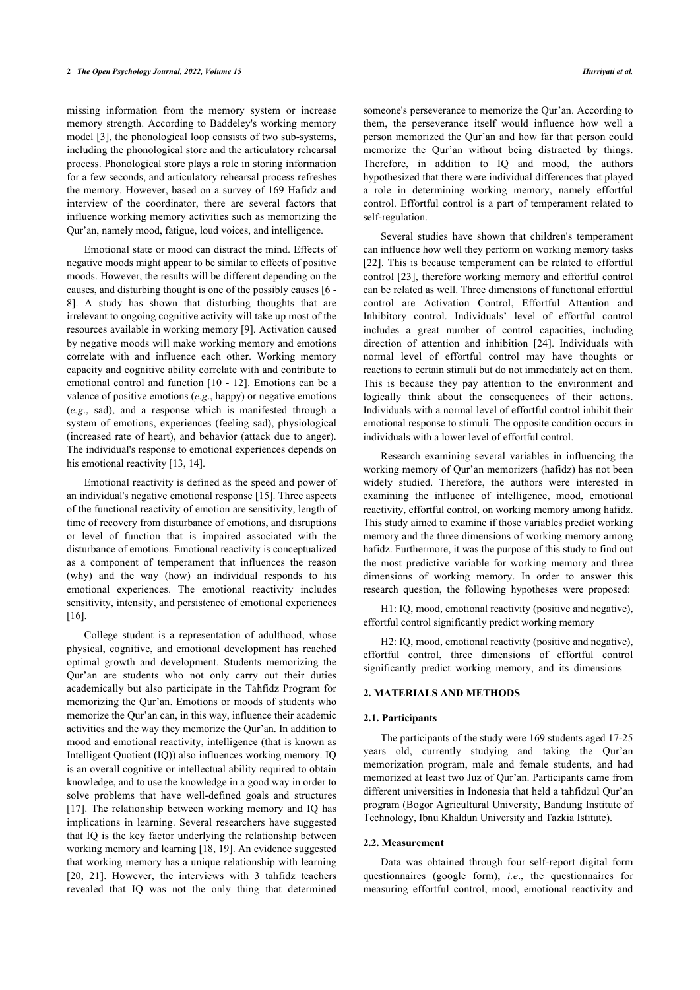missing information from the memory system or increase memory strength. According to Baddeley's working memory model [\[3\]](#page-8-2), the phonological loop consists of two sub-systems, including the phonological store and the articulatory rehearsal process. Phonological store plays a role in storing information for a few seconds, and articulatory rehearsal process refreshes the memory. However, based on a survey of 169 Hafidz and interview of the coordinator, there are several factors that influence working memory activities such as memorizing the Qur'an, namely mood, fatigue, loud voices, and intelligence.

Emotional state or mood can distract the mind. Effects of negative moods might appear to be similar to effects of positive moods. However, the results will be different depending on the causes, and disturbing thought is one of the possibly causes [[6](#page-8-5) - [8](#page-8-6)]. A study has shown that disturbing thoughts that are irrelevant to ongoing cognitive activity will take up most of the resources available in working memory [[9](#page-8-7)]. Activation caused by negative moods will make working memory and emotions correlate with and influence each other. Working memory capacity and cognitive ability correlate with and contribute to emotional control and function [[10](#page-8-8) - [12](#page-8-9)]. Emotions can be a valence of positive emotions (*e.g*., happy) or negative emotions (*e.g*., sad), and a response which is manifested through a system of emotions, experiences (feeling sad), physiological (increased rate of heart), and behavior (attack due to anger). The individual's response to emotional experiences depends on his emotional reactivity [[13,](#page-8-10) [14](#page-8-11)].

Emotional reactivity is defined as the speed and power of an individual's negative emotional response [\[15](#page-8-12)]. Three aspects of the functional reactivity of emotion are sensitivity, length of time of recovery from disturbance of emotions, and disruptions or level of function that is impaired associated with the disturbance of emotions. Emotional reactivity is conceptualized as a component of temperament that influences the reason (why) and the way (how) an individual responds to his emotional experiences. The emotional reactivity includes sensitivity, intensity, and persistence of emotional experiences [[16\]](#page-8-13).

College student is a representation of adulthood, whose physical, cognitive, and emotional development has reached optimal growth and development. Students memorizing the Qur'an are students who not only carry out their duties academically but also participate in the Tahfidz Program for memorizing the Qur'an. Emotions or moods of students who memorize the Qur'an can, in this way, influence their academic activities and the way they memorize the Qur'an. In addition to mood and emotional reactivity, intelligence (that is known as Intelligent Quotient (IQ)) also influences working memory. IQ is an overall cognitive or intellectual ability required to obtain knowledge, and to use the knowledge in a good way in order to solve problems that have well-defined goals and structures [[17\]](#page-8-14). The relationship between working memory and IQ has implications in learning. Several researchers have suggested that IQ is the key factor underlying the relationship between working memory and learning [\[18](#page-8-15), [19\]](#page-8-16). An evidence suggested that working memory has a unique relationship with learning [[20,](#page-8-17) [21](#page-8-18)]. However, the interviews with 3 tahfidz teachers revealed that IQ was not the only thing that determined

someone's perseverance to memorize the Qur'an. According to them, the perseverance itself would influence how well a person memorized the Qur'an and how far that person could memorize the Qur'an without being distracted by things. Therefore, in addition to IQ and mood, the authors hypothesized that there were individual differences that played a role in determining working memory, namely effortful control. Effortful control is a part of temperament related to self-regulation.

Several studies have shown that children's temperament can influence how well they perform on working memory tasks [[22](#page-8-19)]. This is because temperament can be related to effortful control [\[23](#page-8-20)], therefore working memory and effortful control can be related as well. Three dimensions of functional effortful control are Activation Control, Effortful Attention and Inhibitory control. Individuals' level of effortful control includes a great number of control capacities, including direction of attention and inhibition[[24](#page-8-21)]. Individuals with normal level of effortful control may have thoughts or reactions to certain stimuli but do not immediately act on them. This is because they pay attention to the environment and logically think about the consequences of their actions. Individuals with a normal level of effortful control inhibit their emotional response to stimuli. The opposite condition occurs in individuals with a lower level of effortful control.

Research examining several variables in influencing the working memory of Qur'an memorizers (hafidz) has not been widely studied. Therefore, the authors were interested in examining the influence of intelligence, mood, emotional reactivity, effortful control, on working memory among hafidz. This study aimed to examine if those variables predict working memory and the three dimensions of working memory among hafidz. Furthermore, it was the purpose of this study to find out the most predictive variable for working memory and three dimensions of working memory. In order to answer this research question, the following hypotheses were proposed:

H1: IQ, mood, emotional reactivity (positive and negative), effortful control significantly predict working memory

H2: IQ, mood, emotional reactivity (positive and negative), effortful control, three dimensions of effortful control significantly predict working memory, and its dimensions

#### **2. MATERIALS AND METHODS**

#### **2.1. Participants**

The participants of the study were 169 students aged 17-25 years old, currently studying and taking the Qur'an memorization program, male and female students, and had memorized at least two Juz of Qur'an. Participants came from different universities in Indonesia that held a tahfidzul Qur'an program (Bogor Agricultural University, Bandung Institute of Technology, Ibnu Khaldun University and Tazkia Istitute).

### **2.2. Measurement**

Data was obtained through four self-report digital form questionnaires (google form), *i.e*., the questionnaires for measuring effortful control, mood, emotional reactivity and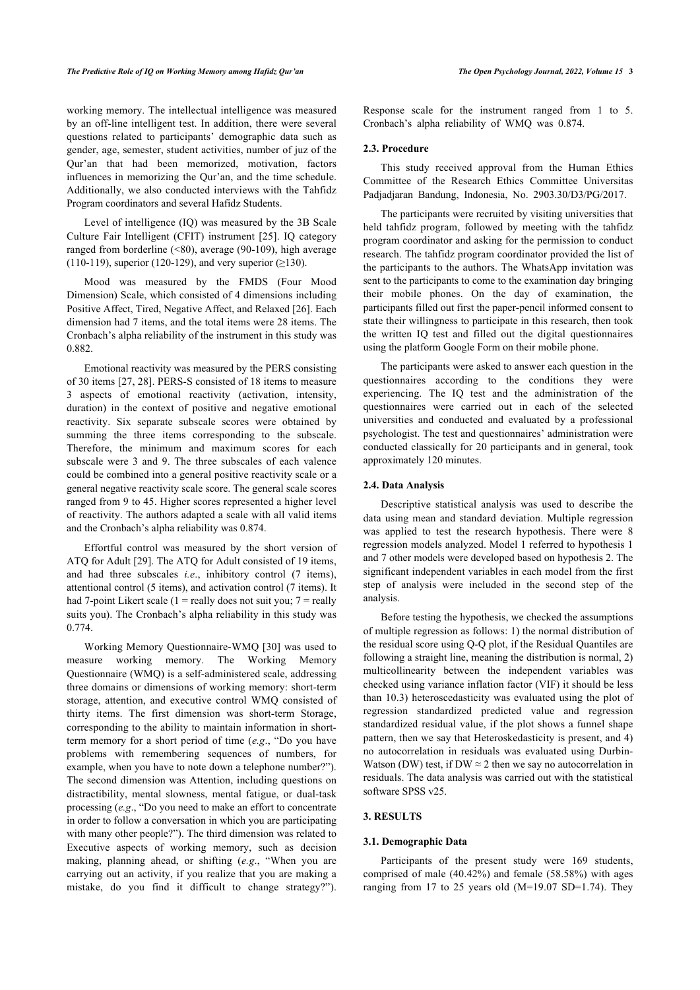working memory. The intellectual intelligence was measured by an off-line intelligent test. In addition, there were several questions related to participants' demographic data such as gender, age, semester, student activities, number of juz of the Qur'an that had been memorized, motivation, factors influences in memorizing the Qur'an, and the time schedule. Additionally, we also conducted interviews with the Tahfidz Program coordinators and several Hafidz Students.

Level of intelligence (IQ) was measured by the 3B Scale Culture Fair Intelligent (CFIT) instrument [\[25\]](#page-8-22). IQ category ranged from borderline (<80), average (90-109), high average (110-119), superior (120-129), and very superior  $(≥130)$ .

Mood was measured by the FMDS (Four Mood Dimension) Scale, which consisted of 4 dimensions including Positive Affect, Tired, Negative Affect, and Relaxed [[26\]](#page-8-23). Each dimension had 7 items, and the total items were 28 items. The Cronbach's alpha reliability of the instrument in this study was 0.882.

Emotional reactivity was measured by the PERS consisting of 30 items [\[27,](#page-8-24) [28](#page-8-25)]. PERS-S consisted of 18 items to measure 3 aspects of emotional reactivity (activation, intensity, duration) in the context of positive and negative emotional reactivity. Six separate subscale scores were obtained by summing the three items corresponding to the subscale. Therefore, the minimum and maximum scores for each subscale were 3 and 9. The three subscales of each valence could be combined into a general positive reactivity scale or a general negative reactivity scale score. The general scale scores ranged from 9 to 45. Higher scores represented a higher level of reactivity. The authors adapted a scale with all valid items and the Cronbach's alpha reliability was 0.874.

Effortful control was measured by the short version of ATQ for Adult [[29\]](#page-8-26). The ATQ for Adult consisted of 19 items, and had three subscales *i.e*., inhibitory control (7 items), attentional control (5 items), and activation control (7 items). It had 7-point Likert scale (1 = really does not suit you;  $7 = \text{really}$ suits you). The Cronbach's alpha reliability in this study was 0.774.

Working Memory Questionnaire-WMQ [\[30\]](#page-8-27) was used to measure working memory. The Working Memory Questionnaire (WMQ) is a self-administered scale, addressing three domains or dimensions of working memory: short-term storage, attention, and executive control WMQ consisted of thirty items. The first dimension was short-term Storage, corresponding to the ability to maintain information in shortterm memory for a short period of time (*e.g*., "Do you have problems with remembering sequences of numbers, for example, when you have to note down a telephone number?"). The second dimension was Attention, including questions on distractibility, mental slowness, mental fatigue, or dual-task processing (*e.g*., "Do you need to make an effort to concentrate in order to follow a conversation in which you are participating with many other people?"). The third dimension was related to Executive aspects of working memory, such as decision making, planning ahead, or shifting (*e.g*., "When you are carrying out an activity, if you realize that you are making a mistake, do you find it difficult to change strategy?").

Response scale for the instrument ranged from 1 to 5. Cronbach's alpha reliability of WMQ was 0.874.

#### **2.3. Procedure**

This study received approval from the Human Ethics Committee of the Research Ethics Committee Universitas Padjadjaran Bandung, Indonesia, No. 2903.30/D3/PG/2017.

The participants were recruited by visiting universities that held tahfidz program, followed by meeting with the tahfidz program coordinator and asking for the permission to conduct research. The tahfidz program coordinator provided the list of the participants to the authors. The WhatsApp invitation was sent to the participants to come to the examination day bringing their mobile phones. On the day of examination, the participants filled out first the paper-pencil informed consent to state their willingness to participate in this research, then took the written IQ test and filled out the digital questionnaires using the platform Google Form on their mobile phone.

The participants were asked to answer each question in the questionnaires according to the conditions they were experiencing. The IQ test and the administration of the questionnaires were carried out in each of the selected universities and conducted and evaluated by a professional psychologist. The test and questionnaires' administration were conducted classically for 20 participants and in general, took approximately 120 minutes.

## **2.4. Data Analysis**

Descriptive statistical analysis was used to describe the data using mean and standard deviation. Multiple regression was applied to test the research hypothesis. There were 8 regression models analyzed. Model 1 referred to hypothesis 1 and 7 other models were developed based on hypothesis 2. The significant independent variables in each model from the first step of analysis were included in the second step of the analysis.

Before testing the hypothesis, we checked the assumptions of multiple regression as follows: 1) the normal distribution of the residual score using Q-Q plot, if the Residual Quantiles are following a straight line, meaning the distribution is normal, 2) multicollinearity between the independent variables was checked using variance inflation factor (VIF) it should be less than 10.3) heteroscedasticity was evaluated using the plot of regression standardized predicted value and regression standardized residual value, if the plot shows a funnel shape pattern, then we say that Heteroskedasticity is present, and 4) no autocorrelation in residuals was evaluated using Durbin-Watson (DW) test, if DW  $\approx$  2 then we say no autocorrelation in residuals. The data analysis was carried out with the statistical software SPSS v25.

## **3. RESULTS**

#### **3.1. Demographic Data**

Participants of the present study were 169 students, comprised of male (40.42%) and female (58.58%) with ages ranging from 17 to 25 years old  $(M=19.07$  SD=1.74). They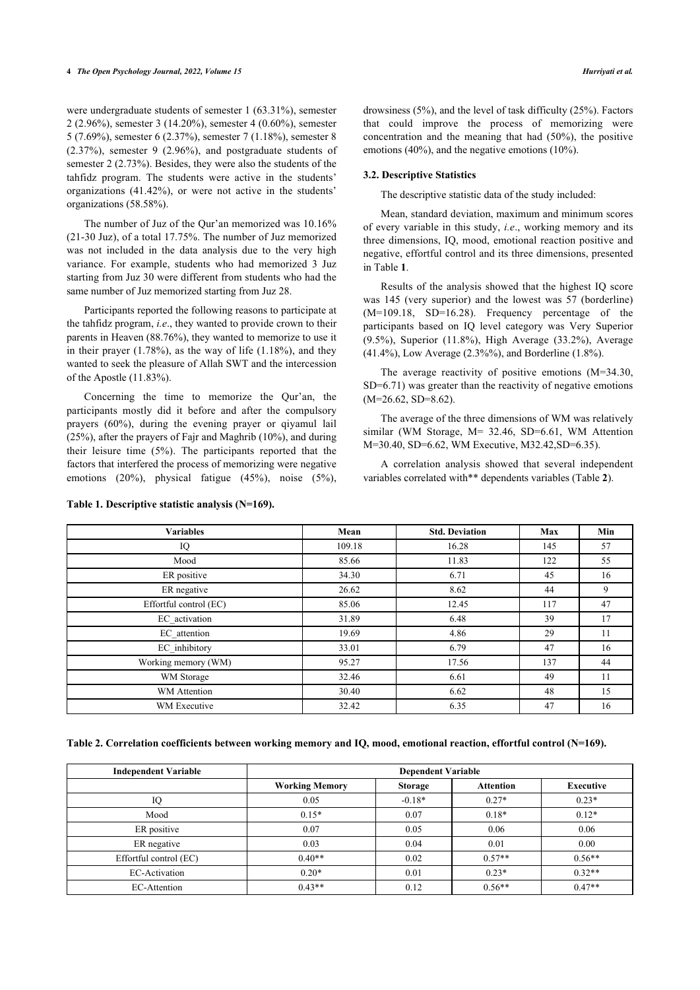were undergraduate students of semester 1 (63.31%), semester 2 (2.96%), semester 3 (14.20%), semester 4 (0.60%), semester 5 (7.69%), semester 6 (2.37%), semester 7 (1.18%), semester 8 (2.37%), semester 9 (2.96%), and postgraduate students of semester 2 (2.73%). Besides, they were also the students of the tahfidz program. The students were active in the students' organizations (41.42%), or were not active in the students' organizations (58.58%).

The number of Juz of the Qur'an memorized was 10.16% (21-30 Juz), of a total 17.75%. The number of Juz memorized was not included in the data analysis due to the very high variance. For example, students who had memorized 3 Juz starting from Juz 30 were different from students who had the same number of Juz memorized starting from Juz 28.

Participants reported the following reasons to participate at the tahfidz program, *i.e*., they wanted to provide crown to their parents in Heaven (88.76%), they wanted to memorize to use it in their prayer  $(1.78\%)$ , as the way of life  $(1.18\%)$ , and they wanted to seek the pleasure of Allah SWT and the intercession of the Apostle (11.83%).

Concerning the time to memorize the Qur'an, the participants mostly did it before and after the compulsory prayers (60%), during the evening prayer or qiyamul lail (25%), after the prayers of Fajr and Maghrib (10%), and during their leisure time (5%). The participants reported that the factors that interfered the process of memorizing were negative emotions (20%), physical fatigue (45%), noise (5%),

drowsiness (5%), and the level of task difficulty (25%). Factors that could improve the process of memorizing were concentration and the meaning that had (50%), the positive emotions (40%), and the negative emotions (10%).

#### **3.2. Descriptive Statistics**

The descriptive statistic data of the study included:

Mean, standard deviation, maximum and minimum scores of every variable in this study, *i.e*., working memory and its three dimensions, IQ, mood, emotional reaction positive and negative, effortful control and its three dimensions, presented in Table **[1](#page-3-0)**.

Results of the analysis showed that the highest IQ score was 145 (very superior) and the lowest was 57 (borderline) (M=109.18, SD=16.28). Frequency percentage of the participants based on IQ level category was Very Superior (9.5%), Superior (11.8%), High Average (33.2%), Average (41.4%), Low Average (2.3%%), and Borderline (1.8%).

The average reactivity of positive emotions (M=34.30, SD=6.71) was greater than the reactivity of negative emotions  $(M=26.62, SD=8.62)$ .

The average of the three dimensions of WM was relatively similar (WM Storage, M= 32.46, SD=6.61, WM Attention M=30.40, SD=6.62, WM Executive, M32.42,SD=6.35).

A correlation analysis showed that several independent variables correlated with\*\* dependents variables (Table **[2](#page-3-1)**).

| <b>Variables</b>       | Mean   | <b>Std. Deviation</b> | Max | Min |
|------------------------|--------|-----------------------|-----|-----|
| IQ                     | 109.18 | 16.28                 | 145 | 57  |
| Mood                   | 85.66  | 11.83                 | 122 | 55  |
| ER positive            | 34.30  | 6.71                  | 45  | 16  |
| ER negative            | 26.62  | 8.62                  | 44  | 9   |
| Effortful control (EC) | 85.06  | 12.45                 | 117 | 47  |
| EC_activation          | 31.89  | 6.48                  | 39  | 17  |
| EC_attention           | 19.69  | 4.86                  | 29  | 11  |
| EC inhibitory          | 33.01  | 6.79                  | 47  | 16  |
| Working memory (WM)    | 95.27  | 17.56                 | 137 | 44  |
| WM Storage             | 32.46  | 6.61                  | 49  | 11  |
| WM Attention           | 30.40  | 6.62                  | 48  | 15  |
| WM Executive           | 32.42  | 6.35                  | 47  | 16  |

#### <span id="page-3-0"></span>**Table 1. Descriptive statistic analysis (N=169).**

<span id="page-3-1"></span>**Table 2. Correlation coefficients between working memory and IQ, mood, emotional reaction, effortful control (N=169).**

| <b>Independent Variable</b> | <b>Dependent Variable</b> |                |                  |           |  |  |  |
|-----------------------------|---------------------------|----------------|------------------|-----------|--|--|--|
|                             | <b>Working Memory</b>     | <b>Storage</b> | <b>Attention</b> | Executive |  |  |  |
| IQ                          | 0.05                      | $-0.18*$       | $0.27*$          | $0.23*$   |  |  |  |
| Mood                        | $0.15*$                   | 0.07           | $0.18*$          | $0.12*$   |  |  |  |
| ER positive                 | 0.07                      | 0.05           | 0.06             | 0.06      |  |  |  |
| ER negative                 | 0.03                      | 0.04           | 0.01             | 0.00      |  |  |  |
| Effortful control (EC)      | $0.40**$                  | 0.02           | $0.57**$         | $0.56**$  |  |  |  |
| EC-Activation               | $0.20*$                   | 0.01           | $0.23*$          | $0.32**$  |  |  |  |
| EC-Attention                | $0.43**$                  | 0.12           | $0.56**$         | $0.47**$  |  |  |  |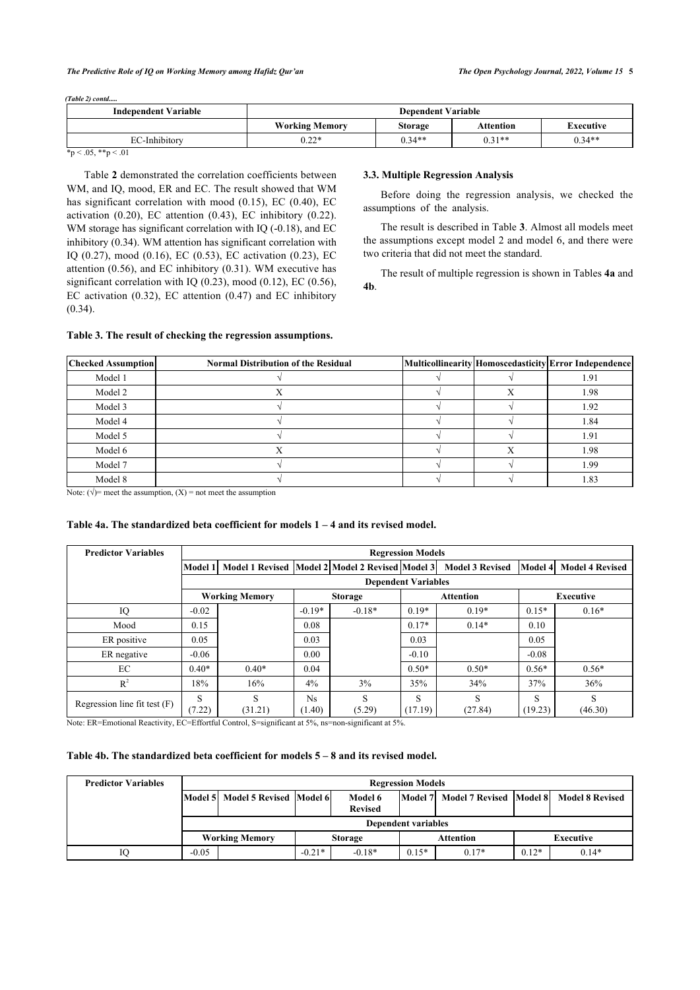*(Table 2) contd.....*

| <b>Dependent Variable</b> |          |           |           |  |  |
|---------------------------|----------|-----------|-----------|--|--|
| <b>Working Memory</b>     | Storage  | Attention | Executive |  |  |
| $0.22*$                   | $0.34**$ | $0.31**$  | $0.34**$  |  |  |
|                           |          |           |           |  |  |

 $*_{p} < .05, **_{p} < .01$ 

Table **[2](#page-3-1)** demonstrated the correlation coefficients between WM, and IQ, mood, ER and EC. The result showed that WM has significant correlation with mood (0.15), EC (0.40), EC activation  $(0.20)$ , EC attention  $(0.43)$ , EC inhibitory  $(0.22)$ . WM storage has significant correlation with IQ (-0.18), and EC inhibitory (0.34). WM attention has significant correlation with IQ (0.27), mood (0.16), EC (0.53), EC activation (0.23), EC attention (0.56), and EC inhibitory (0.31). WM executive has significant correlation with IQ (0.23), mood (0.12), EC (0.56), EC activation (0.32), EC attention (0.47) and EC inhibitory (0.34).

## **3.3. Multiple Regression Analysis**

Before doing the regression analysis, we checked the assumptions of the analysis.

The result is described in Table **[3](#page-4-0)**. Almost all models meet the assumptions except model 2 and model 6, and there were two criteria that did not meet the standard.

The result of multiple regression is shown in Tables **[4a](#page-4-1)** and **[4b](#page-4-2)**.

#### <span id="page-4-0"></span>**Table 3. The result of checking the regression assumptions.**

| <b>Checked Assumption</b> | <b>Normal Distribution of the Residual</b> |  | Multicollinearity Homoscedasticity Error Independence |
|---------------------------|--------------------------------------------|--|-------------------------------------------------------|
| Model 1                   |                                            |  | 1.91                                                  |
| Model 2                   |                                            |  | 1.98                                                  |
| Model 3                   |                                            |  | 1.92                                                  |
| Model 4                   |                                            |  | 1.84                                                  |
| Model 5                   |                                            |  | 1.91                                                  |
| Model 6                   |                                            |  | 1.98                                                  |
| Model 7                   |                                            |  | 1.99                                                  |
| Model 8                   |                                            |  | 1.83                                                  |

Note:  $(\sqrt{\ }$ = meet the assumption,  $(X)$  = not meet the assumption

#### <span id="page-4-1"></span>**Table 4a. The standardized beta coefficient for models 1 – 4 and its revised model.**

| <b>Predictor Variables</b>     | <b>Regression Models</b> |                                                 |               |             |                            |                        |              |                        |
|--------------------------------|--------------------------|-------------------------------------------------|---------------|-------------|----------------------------|------------------------|--------------|------------------------|
|                                | Model 1                  | Model 1 Revised Model 2 Model 2 Revised Model 3 |               |             |                            | <b>Model 3 Revised</b> | Model 4      | <b>Model 4 Revised</b> |
|                                |                          |                                                 |               |             | <b>Dependent Variables</b> |                        |              |                        |
|                                |                          | <b>Working Memory</b>                           |               | Storage     |                            | <b>Attention</b>       |              | <b>Executive</b>       |
| IQ                             | $-0.02$                  |                                                 | $-0.19*$      | $-0.18*$    | $0.19*$                    | $0.19*$                | $0.15*$      | $0.16*$                |
| Mood                           | 0.15                     |                                                 | 0.08          |             | $0.17*$                    | $0.14*$                | 0.10         |                        |
| ER positive                    | 0.05                     |                                                 | 0.03          |             | 0.03                       |                        | 0.05         |                        |
| ER negative                    | $-0.06$                  |                                                 | 0.00          |             | $-0.10$                    |                        | $-0.08$      |                        |
| EC                             | $0.40*$                  | $0.40*$                                         | 0.04          |             | $0.50*$                    | $0.50*$                | $0.56*$      | $0.56*$                |
| $R^2$                          | 18%                      | 16%                                             | 4%            | 3%          | 35%                        | 34%                    | 37%          | 36%                    |
| Regression line fit test $(F)$ | S<br>(7.22)              | S<br>(31.21)                                    | Ns.<br>(1.40) | S<br>(5.29) | S<br>(17.19)               | S<br>(27.84)           | S<br>(19.23) | S<br>(46.30)           |

Note: ER=Emotional Reactivity, EC=Effortful Control, S=significant at 5%, ns=non-significant at 5%.

#### <span id="page-4-2"></span>**Table 4b. The standardized beta coefficient for models 5 – 8 and its revised model.**

| <b>Predictor Variables</b> | <b>Regression Models</b> |                                                                                                 |                                                 |          |         |         |         |                        |
|----------------------------|--------------------------|-------------------------------------------------------------------------------------------------|-------------------------------------------------|----------|---------|---------|---------|------------------------|
|                            |                          | Model 5 Model 5 Revised Model 6<br>Model 7 Model 7 Revised Model 8<br>Model 6<br><b>Revised</b> |                                                 |          |         |         |         | <b>Model 8 Revised</b> |
|                            |                          | <b>Dependent variables</b>                                                                      |                                                 |          |         |         |         |                        |
|                            |                          | <b>Working Memory</b>                                                                           | Executive<br><b>Attention</b><br><b>Storage</b> |          |         |         |         |                        |
|                            | $-0.05$                  |                                                                                                 | $-0.21*$                                        | $-0.18*$ | $0.15*$ | $0.17*$ | $0.12*$ | $0.14*$                |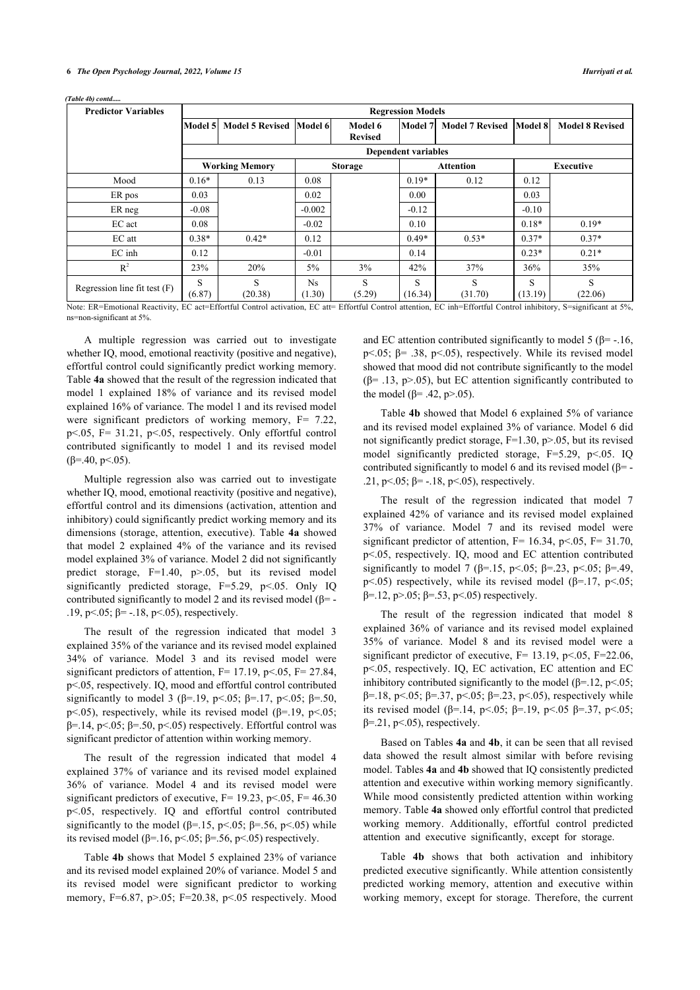| <b>Predictor Variables</b>                                                                           |                                       | <b>Regression Models</b>                           |                     |                           |                            |                                              |                   |                        |
|------------------------------------------------------------------------------------------------------|---------------------------------------|----------------------------------------------------|---------------------|---------------------------|----------------------------|----------------------------------------------|-------------------|------------------------|
|                                                                                                      | Model 5                               | Model 5 Revised Model 6                            |                     | Model 6<br><b>Revised</b> | Model 7                    | Model 7 Revised Model 8                      |                   | <b>Model 8 Revised</b> |
|                                                                                                      |                                       |                                                    |                     |                           | <b>Dependent variables</b> |                                              |                   |                        |
|                                                                                                      |                                       | <b>Working Memory</b>                              |                     | <b>Storage</b>            |                            | Attention                                    |                   | <b>Executive</b>       |
| Mood                                                                                                 | $0.16*$                               | 0.13                                               | 0.08                |                           | $0.19*$                    | 0.12                                         | 0.12              |                        |
| ER pos                                                                                               | 0.03                                  |                                                    | 0.02                |                           | 0.00                       |                                              | 0.03              |                        |
| ER neg                                                                                               | $-0.08$                               |                                                    | $-0.002$            |                           | $-0.12$                    |                                              | $-0.10$           |                        |
| EC act                                                                                               | 0.08                                  |                                                    | $-0.02$             |                           | 0.10                       |                                              | $0.18*$           | $0.19*$                |
| EC att                                                                                               | $0.38*$                               | $0.42*$                                            | 0.12                |                           | $0.49*$                    | $0.53*$                                      | $0.37*$           | $0.37*$                |
| $EC$ inh                                                                                             | 0.12                                  |                                                    | $-0.01$             |                           | 0.14                       |                                              | $0.23*$           | $0.21*$                |
| $R^2$                                                                                                | 23%                                   | 20%                                                | 5%                  | 3%                        | 42%                        | 37%                                          | 36%               | 35%                    |
| Regression line fit test $(F)$<br>$\mathbf{r}$ . The state $\mathbf{r}$ is the state of $\mathbf{r}$ | S<br>(6.87)<br>$\sim$ $\sim$<br>$-20$ | S<br>(20.38)<br>$\sim$ $\sim$ $\sim$ $\sim$ $\sim$ | <b>Ns</b><br>(1.30) | S<br>(5.29)               | S<br>(16.34)               | S<br>(31.70)<br>$-0.1$ $-0.00$ $-0.1$ $-0.1$ | S<br>(13.19)<br>. | S<br>(22.06)           |

*(Table 4b) contd.....*

Note: ER=Emotional Reactivity, EC act=Effortful Control activation, EC att= Effortful Control attention, EC inh=Effortful Control inhibitory, S=significant at 5%, ns=non-significant at 5%.

A multiple regression was carried out to investigate whether IQ, mood, emotional reactivity (positive and negative), effortful control could significantly predict working memory. Table **[4a](#page-4-1)** showed that the result of the regression indicated that model 1 explained 18% of variance and its revised model explained 16% of variance. The model 1 and its revised model were significant predictors of working memory,  $F = 7.22$ ,  $p<0.05$ ,  $F= 31.21$ ,  $p<0.05$ , respectively. Only effortful control contributed significantly to model 1 and its revised model ( $\beta$ =.40, p <.05).

Multiple regression also was carried out to investigate whether IQ, mood, emotional reactivity (positive and negative), effortful control and its dimensions (activation, attention and inhibitory) could significantly predict working memory and its dimensions (storage, attention, executive). Table **[4a](#page-4-1)** showed that model 2 explained 4% of the variance and its revised model explained 3% of variance. Model 2 did not significantly predict storage, F=1.40, p>.05, but its revised model significantly predicted storage, F=5.29, p<.05. Only IQ contributed significantly to model 2 and its revised model  $(\beta$ =-.19, p < .05; β = -.18, p < .05), respectively.

The result of the regression indicated that model 3 explained 35% of the variance and its revised model explained 34% of variance. Model 3 and its revised model were significant predictors of attention,  $F= 17.19$ ,  $p<0.05$ ,  $F= 27.84$ , p<.05, respectively. IQ, mood and effortful control contributed significantly to model 3 ( $\beta$ =.19, p<.05;  $\beta$ =.17, p<.05;  $\beta$ =.50, p<.05), respectively, while its revised model ( $\beta$ =.19, p<.05; β=.14, p<.05; β=.50, p<.05) respectively. Effortful control was significant predictor of attention within working memory.

The result of the regression indicated that model 4 explained 37% of variance and its revised model explained 36% of variance. Model 4 and its revised model were significant predictors of executive,  $F = 19.23$ ,  $p < 0.05$ ,  $F = 46.30$ p<.05, respectively. IQ and effortful control contributed significantly to the model ( $\beta$ =.15, p<.05;  $\beta$ =.56, p<.05) while its revised model ( $β=16$ ,  $p<.05$ ;  $β=.56$ ,  $p<.05$ ) respectively.

Table **[4b](#page-4-2)** shows that Model 5 explained 23% of variance and its revised model explained 20% of variance. Model 5 and its revised model were significant predictor to working memory,  $F=6.87$ ,  $p>0.05$ ;  $F=20.38$ ,  $p<0.05$  respectively. Mood

and EC attention contributed significantly to model 5 ( $\beta$ = -.16, p $\leq$ .05;  $\beta$ = .38, p $\leq$ .05), respectively. While its revised model showed that mood did not contribute significantly to the model ( $\beta$ = .13, p>.05), but EC attention significantly contributed to the model (β= .42, p>.05).

Table **[4b](#page-4-2)** showed that Model 6 explained 5% of variance and its revised model explained 3% of variance. Model 6 did not significantly predict storage, F=1.30, p>.05, but its revised model significantly predicted storage, F=5.29, p<.05. IQ contributed significantly to model 6 and its revised model  $(\beta = -\frac{1}{2})$ .21, p <.05; β = -.18, p <.05), respectively.

The result of the regression indicated that model 7 explained 42% of variance and its revised model explained 37% of variance. Model 7 and its revised model were significant predictor of attention,  $F= 16.34$ ,  $p<0.05$ ,  $F= 31.70$ , p<.05, respectively. IQ, mood and EC attention contributed significantly to model 7 ( $\beta$ =.15, p <.05;  $\beta$ =.23, p <.05;  $\beta$ =.49, p<.05) respectively, while its revised model ( $\beta$ =.17, p<.05;  $β=12$ , p>.05;  $β=.53$ , p<.05) respectively.

The result of the regression indicated that model 8 explained 36% of variance and its revised model explained 35% of variance. Model 8 and its revised model were a significant predictor of executive,  $F= 13.19$ ,  $p<.05$ ,  $F=22.06$ , p<.05, respectively. IQ, EC activation, EC attention and EC inhibitory contributed significantly to the model ( $\beta$ =.12, p<.05; β=.18, p<.05; β=.37, p<.05; β=.23, p<.05), respectively while its revised model (β=.14, p<.05; β=.19, p<.05 β=.37, p<.05;  $\beta$ =.21, p<.05), respectively.

Based on Tables **[4a](#page-4-1)** and **[4b](#page-4-2)**, it can be seen that all revised data showed the result almost similar with before revising model. Tables **[4a](#page-4-1)** and **[4b](#page-4-2)** showed that IQ consistently predicted attention and executive within working memory significantly. While mood consistently predicted attention within working memory. Table **[4a](#page-4-1)** showed only effortful control that predicted working memory. Additionally, effortful control predicted attention and executive significantly, except for storage.

Table **[4b](#page-4-2)** shows that both activation and inhibitory predicted executive significantly. While attention consistently predicted working memory, attention and executive within working memory, except for storage. Therefore, the current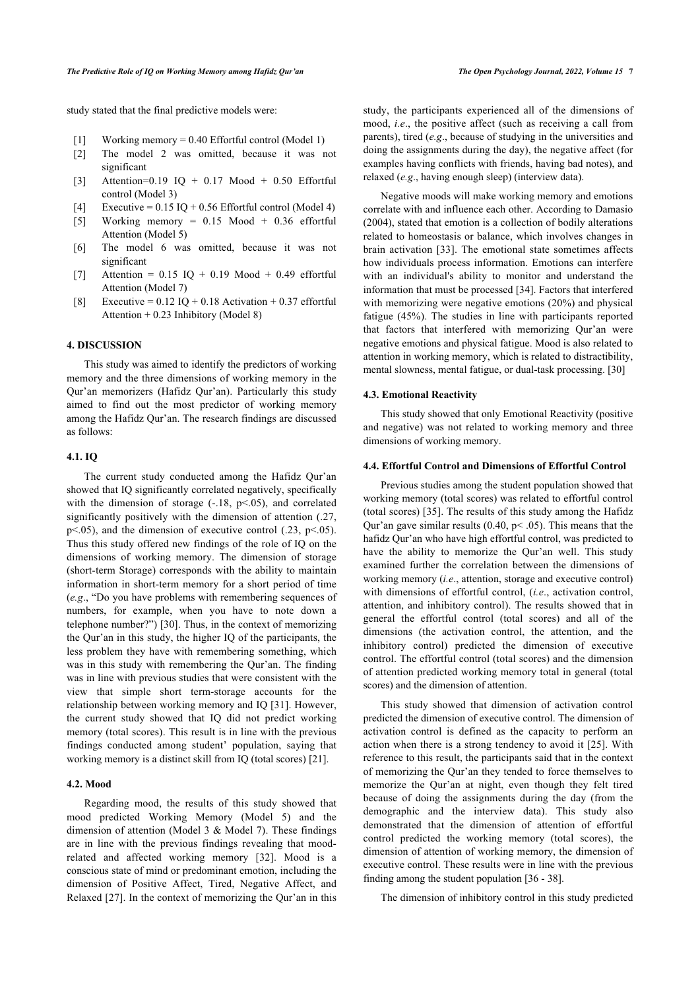study stated that the final predictive models were:

- [1] Working memory = 0.40 Effortful control (Model 1)
- [2] The model 2 was omitted, because it was not significant
- [3] Attention=0.19 IQ + 0.17 Mood + 0.50 Effortful control (Model 3)
- [4] Executive =  $0.15$  IQ + 0.56 Effortful control (Model 4)
- [5] Working memory =  $0.15$  Mood +  $0.36$  effortful Attention (Model 5)
- [6] The model 6 was omitted, because it was not significant
- [7] Attention =  $0.15$  IQ +  $0.19$  Mood + 0.49 effortful Attention (Model 7)
- [8] Executive =  $0.12$  IQ +  $0.18$  Activation +  $0.37$  effortful Attention + 0.23 Inhibitory (Model 8)

#### **4. DISCUSSION**

This study was aimed to identify the predictors of working memory and the three dimensions of working memory in the Qur'an memorizers (Hafidz Qur'an). Particularly this study aimed to find out the most predictor of working memory among the Hafidz Qur'an. The research findings are discussed as follows:

#### **4.1. IQ**

The current study conducted among the Hafidz Qur'an showed that IQ significantly correlated negatively, specifically with the dimension of storage  $(-.18, p<.05)$ , and correlated significantly positively with the dimension of attention (.27,  $p<.05$ ), and the dimension of executive control (.23,  $p<.05$ ). Thus this study offered new findings of the role of IQ on the dimensions of working memory. The dimension of storage (short-term Storage) corresponds with the ability to maintain information in short-term memory for a short period of time (*e.g*., "Do you have problems with remembering sequences of numbers, for example, when you have to note down a telephone number?") [\[30](#page-8-27)]. Thus, in the context of memorizing the Qur'an in this study, the higher IQ of the participants, the less problem they have with remembering something, which was in this study with remembering the Qur'an. The finding was in line with previous studies that were consistent with the view that simple short term-storage accounts for the relationship between working memory and IQ [\[31](#page-8-28)]. However, the current study showed that IQ did not predict working memory (total scores). This result is in line with the previous findings conducted among student' population, saying that working memory is a distinct skill from IQ (total scores) [[21\]](#page-8-18).

#### **4.2. Mood**

Regarding mood, the results of this study showed that mood predicted Working Memory (Model 5) and the dimension of attention (Model 3 & Model 7). These findings are in line with the previous findings revealing that moodrelated and affected working memory[[32\]](#page-8-29). Mood is a conscious state of mind or predominant emotion, including the dimension of Positive Affect, Tired, Negative Affect, and Relaxed [[27\]](#page-8-24). In the context of memorizing the Qur'an in this

study, the participants experienced all of the dimensions of mood, *i.e*., the positive affect (such as receiving a call from parents), tired (*e.g*., because of studying in the universities and doing the assignments during the day), the negative affect (for examples having conflicts with friends, having bad notes), and relaxed (*e.g*., having enough sleep) (interview data).

Negative moods will make working memory and emotions correlate with and influence each other. According to Damasio (2004), stated that emotion is a collection of bodily alterations related to homeostasis or balance, which involves changes in brain activation [\[33\]](#page-8-30). The emotional state sometimes affects how individuals process information. Emotions can interfere with an individual's ability to monitor and understand the information that must be processed [[34\]](#page-8-31). Factors that interfered with memorizing were negative emotions (20%) and physical fatigue (45%). The studies in line with participants reported that factors that interfered with memorizing Qur'an were negative emotions and physical fatigue. Mood is also related to attention in working memory, which is related to distractibility, mental slowness, mental fatigue, or dual-task processing. [[30\]](#page-8-27)

#### **4.3. Emotional Reactivity**

This study showed that only Emotional Reactivity (positive and negative) was not related to working memory and three dimensions of working memory.

## **4.4. Effortful Control and Dimensions of Effortful Control**

Previous studies among the student population showed that working memory (total scores) was related to effortful control (total scores) [[35](#page-8-32)]. The results of this study among the Hafidz Qur'an gave similar results  $(0.40, p<.05)$ . This means that the hafidz Qur'an who have high effortful control, was predicted to have the ability to memorize the Qur'an well. This study examined further the correlation between the dimensions of working memory (*i.e*., attention, storage and executive control) with dimensions of effortful control, (*i.e*., activation control, attention, and inhibitory control). The results showed that in general the effortful control (total scores) and all of the dimensions (the activation control, the attention, and the inhibitory control) predicted the dimension of executive control. The effortful control (total scores) and the dimension of attention predicted working memory total in general (total scores) and the dimension of attention.

This study showed that dimension of activation control predicted the dimension of executive control. The dimension of activation control is defined as the capacity to perform an action when there is a strong tendency to avoid it [[25\]](#page-8-22). With reference to this result, the participants said that in the context of memorizing the Qur'an they tended to force themselves to memorize the Qur'an at night, even though they felt tired because of doing the assignments during the day (from the demographic and the interview data). This study also demonstrated that the dimension of attention of effortful control predicted the working memory (total scores), the dimension of attention of working memory, the dimension of executive control. These results were in line with the previous finding among the student population [\[36](#page-8-33) - [38\]](#page-8-34).

The dimension of inhibitory control in this study predicted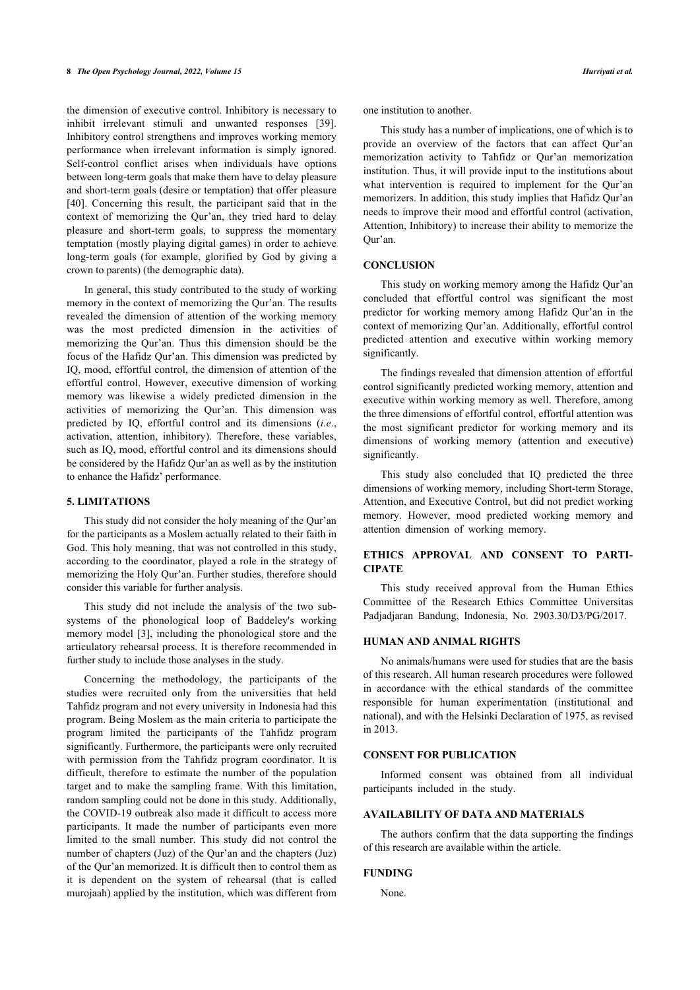the dimension of executive control. Inhibitory is necessary to inhibit irrelevant stimuli and unwanted responses[[39\]](#page-8-35). Inhibitory control strengthens and improves working memory performance when irrelevant information is simply ignored. Self-control conflict arises when individuals have options between long-term goals that make them have to delay pleasure and short-term goals (desire or temptation) that offer pleasure [[40\]](#page-9-0). Concerning this result, the participant said that in the context of memorizing the Qur'an, they tried hard to delay pleasure and short-term goals, to suppress the momentary temptation (mostly playing digital games) in order to achieve long-term goals (for example, glorified by God by giving a crown to parents) (the demographic data).

In general, this study contributed to the study of working memory in the context of memorizing the Qur'an. The results revealed the dimension of attention of the working memory was the most predicted dimension in the activities of memorizing the Qur'an. Thus this dimension should be the focus of the Hafidz Qur'an. This dimension was predicted by IQ, mood, effortful control, the dimension of attention of the effortful control. However, executive dimension of working memory was likewise a widely predicted dimension in the activities of memorizing the Qur'an. This dimension was predicted by IQ, effortful control and its dimensions (*i.e*., activation, attention, inhibitory). Therefore, these variables, such as IQ, mood, effortful control and its dimensions should be considered by the Hafidz Qur'an as well as by the institution to enhance the Hafidz' performance.

#### **5. LIMITATIONS**

This study did not consider the holy meaning of the Qur'an for the participants as a Moslem actually related to their faith in God. This holy meaning, that was not controlled in this study, according to the coordinator, played a role in the strategy of memorizing the Holy Qur'an. Further studies, therefore should consider this variable for further analysis.

This study did not include the analysis of the two subsystems of the phonological loop of Baddeley's working memory model [[3](#page-8-2)], including the phonological store and the articulatory rehearsal process. It is therefore recommended in further study to include those analyses in the study.

Concerning the methodology, the participants of the studies were recruited only from the universities that held Tahfidz program and not every university in Indonesia had this program. Being Moslem as the main criteria to participate the program limited the participants of the Tahfidz program significantly. Furthermore, the participants were only recruited with permission from the Tahfidz program coordinator. It is difficult, therefore to estimate the number of the population target and to make the sampling frame. With this limitation, random sampling could not be done in this study. Additionally, the COVID-19 outbreak also made it difficult to access more participants. It made the number of participants even more limited to the small number. This study did not control the number of chapters (Juz) of the Qur'an and the chapters (Juz) of the Qur'an memorized. It is difficult then to control them as it is dependent on the system of rehearsal (that is called murojaah) applied by the institution, which was different from one institution to another.

This study has a number of implications, one of which is to provide an overview of the factors that can affect Qur'an memorization activity to Tahfidz or Qur'an memorization institution. Thus, it will provide input to the institutions about what intervention is required to implement for the Qur'an memorizers. In addition, this study implies that Hafidz Qur'an needs to improve their mood and effortful control (activation, Attention, Inhibitory) to increase their ability to memorize the Qur'an.

## **CONCLUSION**

This study on working memory among the Hafidz Qur'an concluded that effortful control was significant the most predictor for working memory among Hafidz Qur'an in the context of memorizing Qur'an. Additionally, effortful control predicted attention and executive within working memory significantly.

The findings revealed that dimension attention of effortful control significantly predicted working memory, attention and executive within working memory as well. Therefore, among the three dimensions of effortful control, effortful attention was the most significant predictor for working memory and its dimensions of working memory (attention and executive) significantly.

This study also concluded that IQ predicted the three dimensions of working memory, including Short-term Storage, Attention, and Executive Control, but did not predict working memory. However, mood predicted working memory and attention dimension of working memory.

## **ETHICS APPROVAL AND CONSENT TO PARTI-CIPATE**

This study received approval from the Human Ethics Committee of the Research Ethics Committee Universitas Padjadjaran Bandung, Indonesia, No. 2903.30/D3/PG/2017.

## **HUMAN AND ANIMAL RIGHTS**

No animals/humans were used for studies that are the basis of this research. All human research procedures were followed in accordance with the ethical standards of the committee responsible for human experimentation (institutional and national), and with the Helsinki Declaration of 1975, as revised in 2013.

#### **CONSENT FOR PUBLICATION**

Informed consent was obtained from all individual participants included in the study.

#### **AVAILABILITY OF DATA AND MATERIALS**

The authors confirm that the data supporting the findings of this research are available within the article.

#### **FUNDING**

None.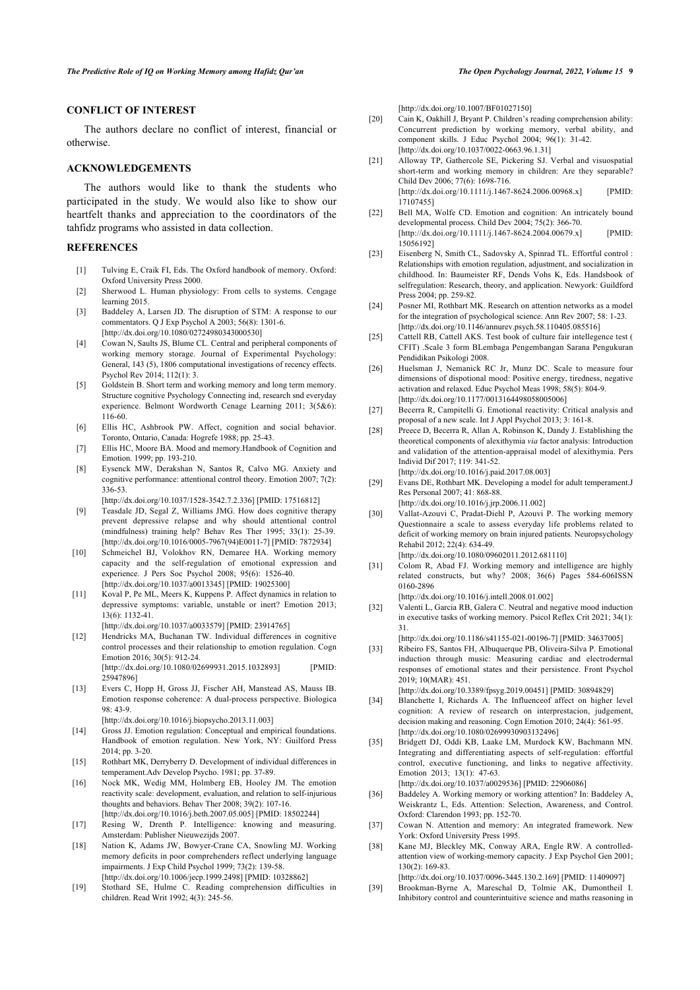## **CONFLICT OF INTEREST**

<span id="page-8-17"></span>The authors declare no conflict of interest, financial or otherwise.

#### <span id="page-8-18"></span>**ACKNOWLEDGEMENTS**

<span id="page-8-19"></span>The authors would like to thank the students who participated in the study. We would also like to show our heartfelt thanks and appreciation to the coordinators of the tahfidz programs who assisted in data collection.

### <span id="page-8-20"></span><span id="page-8-0"></span>**REFERENCES**

- [1] Tulving E, Craik FI, Eds. The Oxford handbook of memory. Oxford: Oxford University Press 2000.
- <span id="page-8-1"></span>[2] Sherwood L. Human physiology: From cells to systems. Cengage learning 2015.
- <span id="page-8-21"></span><span id="page-8-2"></span>[3] Baddeley A, Larsen JD. The disruption of STM: A response to our commentators. Q J Exp Psychol A 2003; 56(8): 1301-6. [\[http://dx.doi.org/10.1080/02724980343000530\]](http://dx.doi.org/10.1080/02724980343000530)
- <span id="page-8-22"></span><span id="page-8-3"></span>[4] Cowan N, Saults JS, Blume CL. Central and peripheral components of working memory storage. Journal of Experimental Psychology: General, 143 (5), 1806 computational investigations of recency effects. Psychol Rev 2014; 112(1): 3.
- <span id="page-8-23"></span><span id="page-8-4"></span>[5] Goldstein B. Short term and working memory and long term memory. Structure cognitive Psychology Connecting ind, research snd everyday experience. Belmont Wordworth Cenage Learning 2011; 3(5&6): 116-60.
- <span id="page-8-25"></span><span id="page-8-24"></span><span id="page-8-5"></span>[6] Ellis HC, Ashbrook PW. Affect, cognition and social behavior. Toronto, Ontario, Canada: Hogrefe 1988; pp. 25-43.
- [7] Ellis HC, Moore BA. Mood and memory.Handbook of Cognition and Emotion. 1999; pp. 193-210.
- <span id="page-8-26"></span><span id="page-8-6"></span>[8] Eysenck MW, Derakshan N, Santos R, Calvo MG. Anxiety and cognitive performance: attentional control theory. Emotion 2007; 7(2): 336-53.

[\[http://dx.doi.org/10.1037/1528-3542.7.2.336](http://dx.doi.org/10.1037/1528-3542.7.2.336)] [PMID: [17516812\]](http://www.ncbi.nlm.nih.gov/pubmed/17516812)

- <span id="page-8-27"></span><span id="page-8-7"></span>[9] Teasdale JD, Segal Z, Williams JMG. How does cognitive therapy prevent depressive relapse and why should attentional control (mindfulness) training help? Behav Res Ther 1995; 33(1): 25-39. [\[http://dx.doi.org/10.1016/0005-7967\(94\)E0011-7](http://dx.doi.org/10.1016/0005-7967(94)E0011-7)] [PMID: [7872934](http://www.ncbi.nlm.nih.gov/pubmed/7872934)]
- <span id="page-8-28"></span><span id="page-8-8"></span>[10] Schmeichel BJ, Volokhov RN, Demaree HA. Working memory capacity and the self-regulation of emotional expression and experience. J Pers Soc Psychol 2008; 95(6): 1526-40. [\[http://dx.doi.org/10.1037/a0013345\]](http://dx.doi.org/10.1037/a0013345) [PMID: [19025300](http://www.ncbi.nlm.nih.gov/pubmed/19025300)]
- <span id="page-8-29"></span>[11] Koval P, Pe ML, Meers K, Kuppens P. Affect dynamics in relation to depressive symptoms: variable, unstable or inert? Emotion 2013;  $13(6) \cdot 1132 - 41$

[\[http://dx.doi.org/10.1037/a0033579\]](http://dx.doi.org/10.1037/a0033579) [PMID: [23914765](http://www.ncbi.nlm.nih.gov/pubmed/23914765)]

- <span id="page-8-30"></span><span id="page-8-9"></span>[12] Hendricks MA, Buchanan TW. Individual differences in cognitive control processes and their relationship to emotion regulation. Cogn Emotion 2016; 30(5): 912-24. [\[http://dx.doi.org/10.1080/02699931.2015.1032893\]](http://dx.doi.org/10.1080/02699931.2015.1032893) [PMID: [25947896\]](http://www.ncbi.nlm.nih.gov/pubmed/25947896)
- <span id="page-8-31"></span><span id="page-8-10"></span>[13] Evers C, Hopp H, Gross JJ, Fischer AH, Manstead AS, Mauss IB. Emotion response coherence: A dual-process perspective. Biologica 98: 43-9.

[\[http://dx.doi.org/10.1016/j.biopsycho.2013.11.003](http://dx.doi.org/10.1016/j.biopsycho.2013.11.003)]

- <span id="page-8-32"></span><span id="page-8-11"></span>[14] Gross JJ. Emotion regulation: Conceptual and empirical foundations. Handbook of emotion regulation. New York, NY: Guilford Press 2014; pp. 3-20.
- <span id="page-8-12"></span>[15] Rothbart MK, Derryberry D. Development of individual differences in temperament.Adv Develop Psycho. 1981; pp. 37-89.
- <span id="page-8-33"></span><span id="page-8-13"></span>[16] Nock MK, Wedig MM, Holmberg EB, Hooley JM. The emotion reactivity scale: development, evaluation, and relation to self-injurious thoughts and behaviors. Behav Ther 2008; 39(2): 107-16. [\[http://dx.doi.org/10.1016/j.beth.2007.05.005\]](http://dx.doi.org/10.1016/j.beth.2007.05.005) [PMID: [18502244](http://www.ncbi.nlm.nih.gov/pubmed/18502244)]
- <span id="page-8-14"></span>[17] Resing W, Drenth P. Intelligence: knowing and measuring. Amsterdam: Publisher Nieuwezijds 2007.
- <span id="page-8-34"></span><span id="page-8-15"></span>[18] Nation K, Adams JW, Bowyer-Crane CA, Snowling MJ, Working memory deficits in poor comprehenders reflect underlying language impairments. J Exp Child Psychol 1999; 73(2): 139-58. [\[http://dx.doi.org/10.1006/jecp.1999.2498](http://dx.doi.org/10.1006/jecp.1999.2498)] [PMID: [10328862\]](http://www.ncbi.nlm.nih.gov/pubmed/10328862)
- <span id="page-8-35"></span><span id="page-8-16"></span>[19] Stothard SE, Hulme C. Reading comprehension difficulties in children. Read Writ 1992; 4(3): 245-56.

[\[http://dx.doi.org/10.1007/BF01027150](http://dx.doi.org/10.1007/BF01027150)]

- [20] Cain K, Oakhill J, Bryant P. Children's reading comprehension ability: Concurrent prediction by working memory, verbal ability, and component skills. J Educ Psychol 2004; 96(1): 31-42. [\[http://dx.doi.org/10.1037/0022-0663.96.1.31\]](http://dx.doi.org/10.1037/0022-0663.96.1.31)
- [21] Alloway TP, Gathercole SE, Pickering SJ. Verbal and visuospatial short-term and working memory in children: Are they separable? Child Dev 2006; 77(6): 1698-716. [\[http://dx.doi.org/10.1111/j.1467-8624.2006.00968.x\]](http://dx.doi.org/10.1111/j.1467-8624.2006.00968.x) [PMID: [17107455\]](http://www.ncbi.nlm.nih.gov/pubmed/17107455)
- [22] Bell MA, Wolfe CD. Emotion and cognition: An intricately bound developmental process. Child Dev 2004; 75(2): 366-70. [\[http://dx.doi.org/10.1111/j.1467-8624.2004.00679.x\]](http://dx.doi.org/10.1111/j.1467-8624.2004.00679.x) [PMID: [15056192\]](http://www.ncbi.nlm.nih.gov/pubmed/15056192)
- [23] Eisenberg N, Smith CL, Sadovsky A, Spinrad TL. Effortful control : Relationships with emotion regulation, adjustment, and socialization in childhood. In: Baumeister RF, Dends Vohs K, Eds. Handsbook of selfregulation: Research, theory, and application. Newyork: Guildford Press 2004; pp. 259-82.
- [24] Posner MI, Rothbart MK. Research on attention networks as a model for the integration of psychological science. Ann Rev 2007; 58: 1-23. [\[http://dx.doi.org/10.1146/annurev.psych.58.110405.085516](http://dx.doi.org/10.1146/annurev.psych.58.110405.085516)]
- [25] Cattell RB, Cattell AKS. Test book of culture fair intellegence test ( CFIT) .Scale 3 form BLembaga Pengembangan Sarana Pengukuran Pendidikan Psikologi 2008.
- [26] Huelsman J, Nemanick RC Jr, Munz DC. Scale to measure four dimensions of dispotional mood: Positive energy, tiredness, negative activation and relaxed. Educ Psychol Meas 1998; 58(5): 804-9. [\[http://dx.doi.org/10.1177/0013164498058005006\]](http://dx.doi.org/10.1177/0013164498058005006)
- [27] Becerra R, Campitelli G. Emotional reactivity: Critical analysis and proposal of a new scale. Int J Appl Psychol 2013; 3: 161-8.
- [28] Preece D, Becerra R, Allan A, Robinson K, Dandy J. Establishing the theoretical components of alexithymia *via* factor analysis: Introduction and validation of the attention-appraisal model of alexithymia. Pers Individ Dif 2017; 119: 341-52.
- [\[http://dx.doi.org/10.1016/j.paid.2017.08.003\]](http://dx.doi.org/10.1016/j.paid.2017.08.003) [29] Evans DE, Rothbart MK. Developing a model for adult temperament.J

Res Personal 2007; 41: 868-88. [\[http://dx.doi.org/10.1016/j.jrp.2006.11.002\]](http://dx.doi.org/10.1016/j.jrp.2006.11.002)

- [30] Vallat-Azouvi C, Pradat-Diehl P, Azouvi P. The working memory Questionnaire a scale to assess everyday life problems related to deficit of working memory on brain injured patients. Neuropsychology Rehabil 2012; 22(4): 634-49. [\[http://dx.doi.org/10.1080/09602011.2012.681110\]](http://dx.doi.org/10.1080/09602011.2012.681110)
- [31] Colom R, Abad FJ. Working memory and intelligence are highly related constructs, but why? 2008; 36(6) Pages 584-606ISSN 0160-2896

[\[http://dx.doi.org/10.1016/j.intell.2008.01.002](http://dx.doi.org/10.1016/j.intell.2008.01.002)]

- [32] Valenti L, Garcia RB, Galera C. Neutral and negative mood induction in executive tasks of working memory. Psicol Reflex Crit 2021; 34(1): 31.
- [\[http://dx.doi.org/10.1186/s41155-021-00196-7](http://dx.doi.org/10.1186/s41155-021-00196-7)] [PMID: [34637005\]](http://www.ncbi.nlm.nih.gov/pubmed/34637005)
- [33] Ribeiro FS, Santos FH, Albuquerque PB, Oliveira-Silva P. Emotional induction through music: Measuring cardiac and electrodermal responses of emotional states and their persistence. Front Psychol 2019; 10(MAR): 451.

[\[http://dx.doi.org/10.3389/fpsyg.2019.00451](http://dx.doi.org/10.3389/fpsyg.2019.00451)] [PMID: [30894829\]](http://www.ncbi.nlm.nih.gov/pubmed/30894829)

- [34] Blanchette I, Richards A. The Influence of affect on higher level cognition: A review of research on interprestacion, judgement, decision making and reasoning. Cogn Emotion 2010; 24(4): 561-95. [\[http://dx.doi.org/10.1080/02699930903132496\]](http://dx.doi.org/10.1080/02699930903132496)
- [35] Bridgett DJ, Oddi KB, Laake LM, Murdock KW, Bachmann MN. Integrating and differentiating aspects of self-regulation: effortful control, executive functioning, and links to negative affectivity. Emotion 2013; 13(1): 47-63.

[\[http://dx.doi.org/10.1037/a0029536](http://dx.doi.org/10.1037/a0029536)] [PMID: [22906086\]](http://www.ncbi.nlm.nih.gov/pubmed/22906086)

- [36] Baddeley A. Working memory or working attention? In: Baddeley A, Weiskrantz L, Eds. Attention: Selection, Awareness, and Control. Oxford: Clarendon 1993; pp. 152-70.
- [37] Cowan N. Attention and memory: An integrated framework. New York: Oxford University Press 1995.
- [38] Kane MJ, Bleckley MK, Conway ARA, Engle RW. A controlledattention view of working-memory capacity. J Exp Psychol Gen 2001; 130(2): 169-83.

[\[http://dx.doi.org/10.1037/0096-3445.130.2.169\]](http://dx.doi.org/10.1037/0096-3445.130.2.169) [PMID: [11409097](http://www.ncbi.nlm.nih.gov/pubmed/11409097)]

[39] Brookman-Byrne A, Mareschal D, Tolmie AK, Dumontheil I. Inhibitory control and counterintuitive science and maths reasoning in